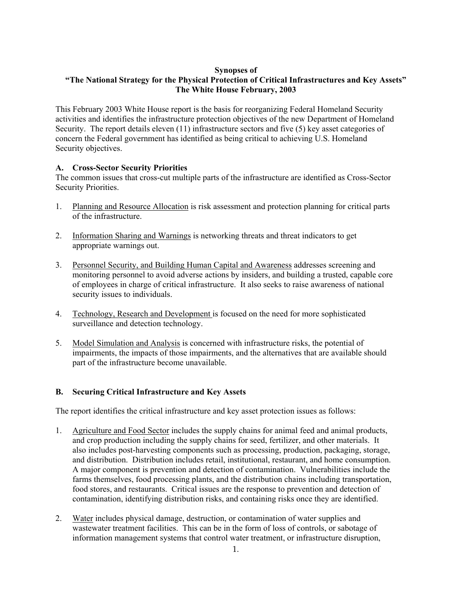## **Synopses of**

## **"The National Strategy for the Physical Protection of Critical Infrastructures and Key Assets" The White House February, 2003**

This February 2003 White House report is the basis for reorganizing Federal Homeland Security activities and identifies the infrastructure protection objectives of the new Department of Homeland Security. The report details eleven (11) infrastructure sectors and five (5) key asset categories of concern the Federal government has identified as being critical to achieving U.S. Homeland Security objectives.

## **A. Cross-Sector Security Priorities**

The common issues that cross-cut multiple parts of the infrastructure are identified as Cross-Sector Security Priorities.

- 1. Planning and Resource Allocation is risk assessment and protection planning for critical parts of the infrastructure.
- 2. Information Sharing and Warnings is networking threats and threat indicators to get appropriate warnings out.
- 3. Personnel Security, and Building Human Capital and Awareness addresses screening and monitoring personnel to avoid adverse actions by insiders, and building a trusted, capable core of employees in charge of critical infrastructure. It also seeks to raise awareness of national security issues to individuals.
- 4. Technology, Research and Development is focused on the need for more sophisticated surveillance and detection technology.
- 5. Model Simulation and Analysis is concerned with infrastructure risks, the potential of impairments, the impacts of those impairments, and the alternatives that are available should part of the infrastructure become unavailable.

## **B. Securing Critical Infrastructure and Key Assets**

The report identifies the critical infrastructure and key asset protection issues as follows:

- 1. Agriculture and Food Sector includes the supply chains for animal feed and animal products, and crop production including the supply chains for seed, fertilizer, and other materials. It also includes post-harvesting components such as processing, production, packaging, storage, and distribution. Distribution includes retail, institutional, restaurant, and home consumption. A major component is prevention and detection of contamination. Vulnerabilities include the farms themselves, food processing plants, and the distribution chains including transportation, food stores, and restaurants. Critical issues are the response to prevention and detection of contamination, identifying distribution risks, and containing risks once they are identified.
- 2. Water includes physical damage, destruction, or contamination of water supplies and wastewater treatment facilities. This can be in the form of loss of controls, or sabotage of information management systems that control water treatment, or infrastructure disruption,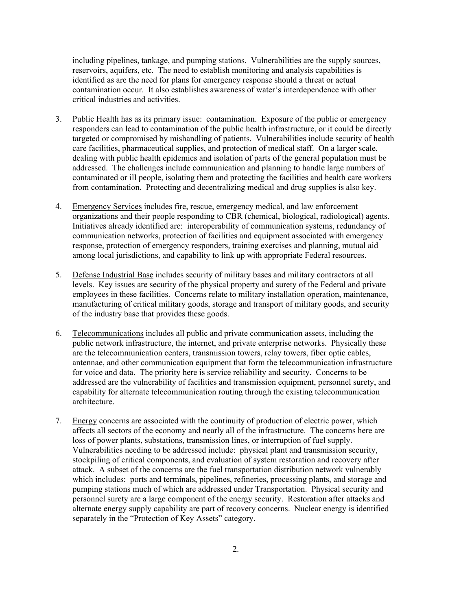including pipelines, tankage, and pumping stations. Vulnerabilities are the supply sources, reservoirs, aquifers, etc. The need to establish monitoring and analysis capabilities is identified as are the need for plans for emergency response should a threat or actual contamination occur. It also establishes awareness of water's interdependence with other critical industries and activities.

- 3. Public Health has as its primary issue: contamination. Exposure of the public or emergency responders can lead to contamination of the public health infrastructure, or it could be directly targeted or compromised by mishandling of patients. Vulnerabilities include security of health care facilities, pharmaceutical supplies, and protection of medical staff. On a larger scale, dealing with public health epidemics and isolation of parts of the general population must be addressed. The challenges include communication and planning to handle large numbers of contaminated or ill people, isolating them and protecting the facilities and health care workers from contamination. Protecting and decentralizing medical and drug supplies is also key.
- 4. Emergency Services includes fire, rescue, emergency medical, and law enforcement organizations and their people responding to CBR (chemical, biological, radiological) agents. Initiatives already identified are: interoperability of communication systems, redundancy of communication networks, protection of facilities and equipment associated with emergency response, protection of emergency responders, training exercises and planning, mutual aid among local jurisdictions, and capability to link up with appropriate Federal resources.
- 5. Defense Industrial Base includes security of military bases and military contractors at all levels. Key issues are security of the physical property and surety of the Federal and private employees in these facilities. Concerns relate to military installation operation, maintenance, manufacturing of critical military goods, storage and transport of military goods, and security of the industry base that provides these goods.
- 6. Telecommunications includes all public and private communication assets, including the public network infrastructure, the internet, and private enterprise networks. Physically these are the telecommunication centers, transmission towers, relay towers, fiber optic cables, antennae, and other communication equipment that form the telecommunication infrastructure for voice and data. The priority here is service reliability and security. Concerns to be addressed are the vulnerability of facilities and transmission equipment, personnel surety, and capability for alternate telecommunication routing through the existing telecommunication architecture.
- 7. Energy concerns are associated with the continuity of production of electric power, which affects all sectors of the economy and nearly all of the infrastructure. The concerns here are loss of power plants, substations, transmission lines, or interruption of fuel supply. Vulnerabilities needing to be addressed include: physical plant and transmission security, stockpiling of critical components, and evaluation of system restoration and recovery after attack. A subset of the concerns are the fuel transportation distribution network vulnerably which includes: ports and terminals, pipelines, refineries, processing plants, and storage and pumping stations much of which are addressed under Transportation. Physical security and personnel surety are a large component of the energy security. Restoration after attacks and alternate energy supply capability are part of recovery concerns. Nuclear energy is identified separately in the "Protection of Key Assets" category.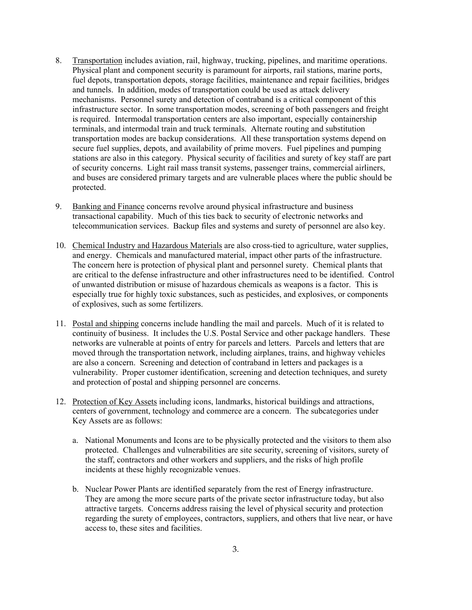- 8. Transportation includes aviation, rail, highway, trucking, pipelines, and maritime operations. Physical plant and component security is paramount for airports, rail stations, marine ports, fuel depots, transportation depots, storage facilities, maintenance and repair facilities, bridges and tunnels. In addition, modes of transportation could be used as attack delivery mechanisms. Personnel surety and detection of contraband is a critical component of this infrastructure sector. In some transportation modes, screening of both passengers and freight is required. Intermodal transportation centers are also important, especially containership terminals, and intermodal train and truck terminals. Alternate routing and substitution transportation modes are backup considerations. All these transportation systems depend on secure fuel supplies, depots, and availability of prime movers. Fuel pipelines and pumping stations are also in this category. Physical security of facilities and surety of key staff are part of security concerns. Light rail mass transit systems, passenger trains, commercial airliners, and buses are considered primary targets and are vulnerable places where the public should be protected.
- 9. Banking and Finance concerns revolve around physical infrastructure and business transactional capability. Much of this ties back to security of electronic networks and telecommunication services. Backup files and systems and surety of personnel are also key.
- 10. Chemical Industry and Hazardous Materials are also cross-tied to agriculture, water supplies, and energy. Chemicals and manufactured material, impact other parts of the infrastructure. The concern here is protection of physical plant and personnel surety. Chemical plants that are critical to the defense infrastructure and other infrastructures need to be identified. Control of unwanted distribution or misuse of hazardous chemicals as weapons is a factor. This is especially true for highly toxic substances, such as pesticides, and explosives, or components of explosives, such as some fertilizers.
- 11. Postal and shipping concerns include handling the mail and parcels. Much of it is related to continuity of business. It includes the U.S. Postal Service and other package handlers. These networks are vulnerable at points of entry for parcels and letters. Parcels and letters that are moved through the transportation network, including airplanes, trains, and highway vehicles are also a concern. Screening and detection of contraband in letters and packages is a vulnerability. Proper customer identification, screening and detection techniques, and surety and protection of postal and shipping personnel are concerns.
- 12. Protection of Key Assets including icons, landmarks, historical buildings and attractions, centers of government, technology and commerce are a concern. The subcategories under Key Assets are as follows:
	- a. National Monuments and Icons are to be physically protected and the visitors to them also protected. Challenges and vulnerabilities are site security, screening of visitors, surety of the staff, contractors and other workers and suppliers, and the risks of high profile incidents at these highly recognizable venues.
	- b. Nuclear Power Plants are identified separately from the rest of Energy infrastructure. They are among the more secure parts of the private sector infrastructure today, but also attractive targets. Concerns address raising the level of physical security and protection regarding the surety of employees, contractors, suppliers, and others that live near, or have access to, these sites and facilities.